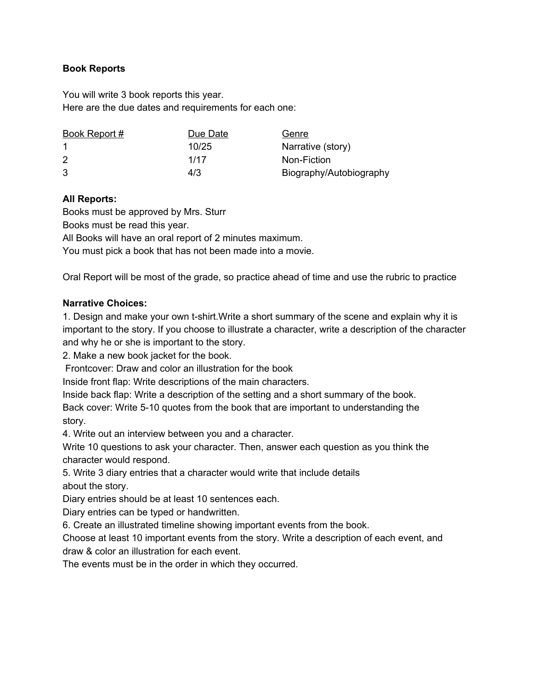## **Book Reports**

You will write 3 book reports this year. Here are the due dates and requirements for each one:

| Book Report # | Due Date | Genre                   |
|---------------|----------|-------------------------|
|               | 10/25    | Narrative (story)       |
| 2             | 1/17     | Non-Fiction             |
| 3             | 4/3      | Biography/Autobiography |

## **All Reports:**

Books must be approved by Mrs. Sturr

Books must be read this year.

All Books will have an oral report of 2 minutes maximum.

You must pick a book that has not been made into a movie.

Oral Report will be most of the grade, so practice ahead of time and use the rubric to practice

## **Narrative Choices:**

1. Design and make your own t-shirt.Write a short summary of the scene and explain why it is important to the story. If you choose to illustrate a character, write a description of the character and why he or she is important to the story.

2. Make a new book jacket for the book.

Frontcover: Draw and color an illustration for the book

Inside front flap: Write descriptions of the main characters.

Inside back flap: Write a description of the setting and a short summary of the book.

Back cover: Write 5-10 quotes from the book that are important to understanding the story.

4. Write out an interview between you and a character.

Write 10 questions to ask your character. Then, answer each question as you think the character would respond.

5. Write 3 diary entries that a character would write that include details about the story.

Diary entries should be at least 10 sentences each.

Diary entries can be typed or handwritten.

6. Create an illustrated timeline showing important events from the book.

Choose at least 10 important events from the story. Write a description of each event, and draw & color an illustration for each event.

The events must be in the order in which they occurred.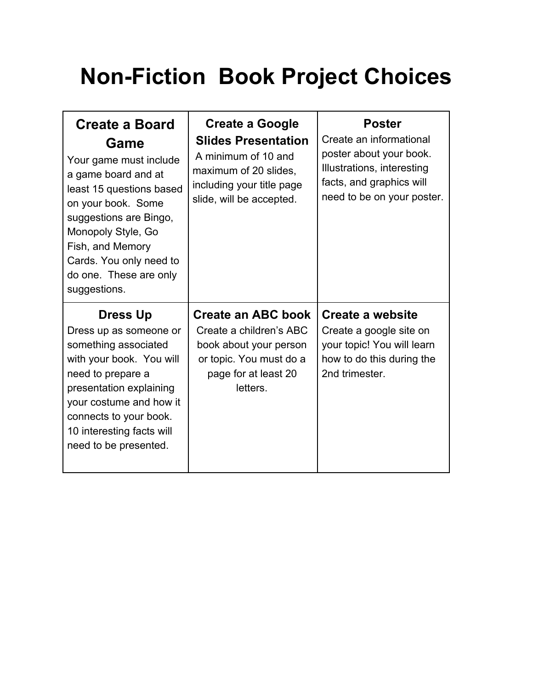## **Non-Fiction Book Project Choices**

| <b>Create a Board</b><br>Game<br>Your game must include<br>a game board and at<br>least 15 questions based<br>on your book. Some<br>suggestions are Bingo,<br>Monopoly Style, Go<br>Fish, and Memory<br>Cards. You only need to<br>do one. These are only<br>suggestions. | <b>Create a Google</b><br><b>Slides Presentation</b><br>A minimum of 10 and<br>maximum of 20 slides,<br>including your title page<br>slide, will be accepted. | <b>Poster</b><br>Create an informational<br>poster about your book.<br>Illustrations, interesting<br>facts, and graphics will<br>need to be on your poster. |
|---------------------------------------------------------------------------------------------------------------------------------------------------------------------------------------------------------------------------------------------------------------------------|---------------------------------------------------------------------------------------------------------------------------------------------------------------|-------------------------------------------------------------------------------------------------------------------------------------------------------------|
| <b>Dress Up</b><br>Dress up as someone or<br>something associated<br>with your book. You will<br>need to prepare a<br>presentation explaining<br>your costume and how it<br>connects to your book.<br>10 interesting facts will<br>need to be presented.                  | <b>Create an ABC book</b><br>Create a children's ABC<br>book about your person<br>or topic. You must do a<br>page for at least 20<br>letters.                 | <b>Create a website</b><br>Create a google site on<br>your topic! You will learn<br>how to do this during the<br>2nd trimester.                             |